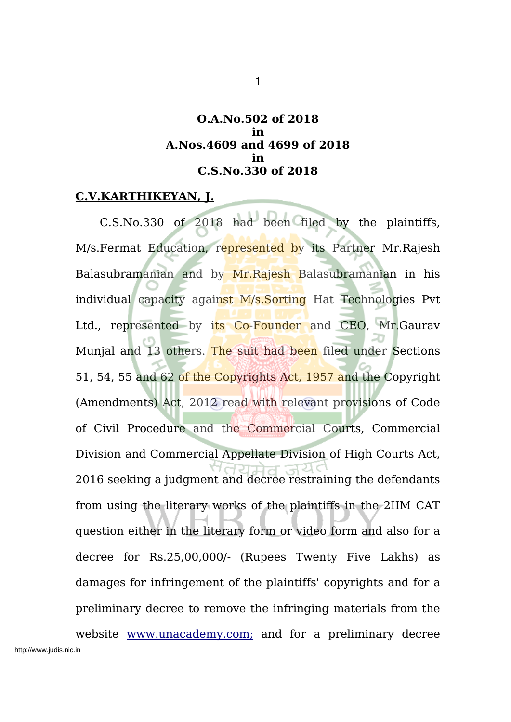### **O.A.No.502 of 2018 in A.Nos.4609 and 4699 of 2018 in C.S.No.330 of 2018**

### **C.V.KARTHIKEYAN, J.**

C.S.No.330 of 2018 had been filed by the plaintiffs, M/s.Fermat Education, represented by its Partner Mr.Rajesh Balasubramanian and by Mr.Rajesh Balasubramanian in his individual capacity against M/s.Sorting Hat Technologies Pvt Ltd., represented by its Co-Founder and CEO, Mr. Gaurav Munjal and 13 others. The suit had been filed under Sections 51, 54, 55 and 62 of the Copyrights Act, 1957 and the Copyright (Amendments) Act, 2012 read with relevant provisions of Code of Civil Procedure and the Commercial Courts, Commercial Division and Commercial Appellate Division of High Courts Act, 2016 seeking a judgment and decree restraining the defendants from using the literary works of the plaintiffs in the 2IIM CAT question either in the literary form or video form and also for a decree for Rs.25,00,000/- (Rupees Twenty Five Lakhs) as damages for infringement of the plaintiffs' copyrights and for a preliminary decree to remove the infringing materials from the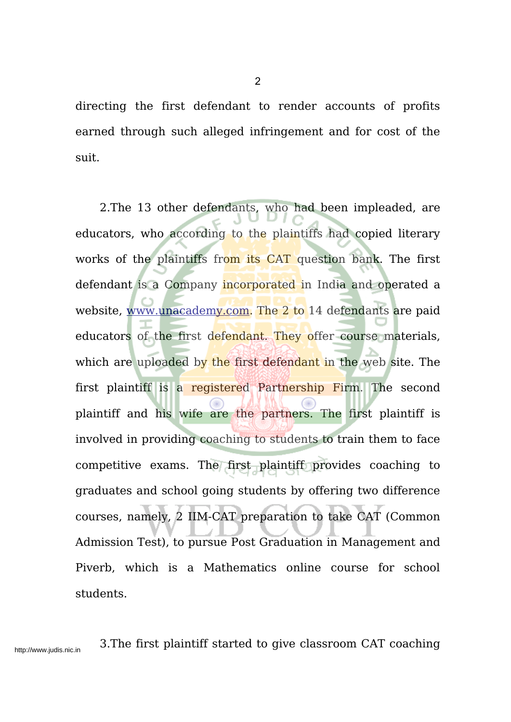directing the first defendant to render accounts of profits earned through such alleged infringement and for cost of the suit.

2.The 13 other defendants, who had been impleaded, are educators, who according to the plaintiffs had copied literary works of the plaintiffs from its CAT question bank. The first defendant is a Company incorporated in India and operated a website, www.unacademy.com. The 2 to 14 defendants are paid educators of the first defendant. They offer course materials, which are uploaded by the first defendant in the web site. The first plaintiff is a registered Partnership Firm. The second plaintiff and his wife are the partners. The first plaintiff is involved in providing coaching to students to train them to face competitive exams. The first plaintiff provides coaching to graduates and school going students by offering two difference courses, namely, 2 IIM-CAT preparation to take CAT (Common Admission Test), to pursue Post Graduation in Management and Piverb, which is a Mathematics online course for school students.

http://www.judis.nic.in 3.The first plaintiff started to give classroom CAT coaching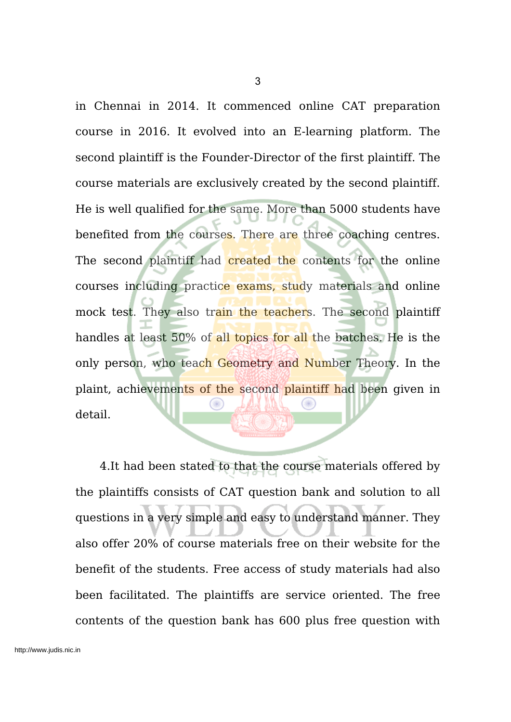in Chennai in 2014. It commenced online CAT preparation course in 2016. It evolved into an E-learning platform. The second plaintiff is the Founder-Director of the first plaintiff. The course materials are exclusively created by the second plaintiff. He is well qualified for the same. More than 5000 students have benefited from the courses. There are three coaching centres. The second plaintiff had created the contents for the online courses including practice exams, study materials and online mock test. They also train the teachers. The second plaintiff handles at least 50% of all topics for all the batches. He is the only person, who teach Geometry and Number Theory. In the plaint, achievements of the second plaintiff had been given in detail.

4.It had been stated to that the course materials offered by the plaintiffs consists of CAT question bank and solution to all questions in a very simple and easy to understand manner. They also offer 20% of course materials free on their website for the benefit of the students. Free access of study materials had also been facilitated. The plaintiffs are service oriented. The free contents of the question bank has 600 plus free question with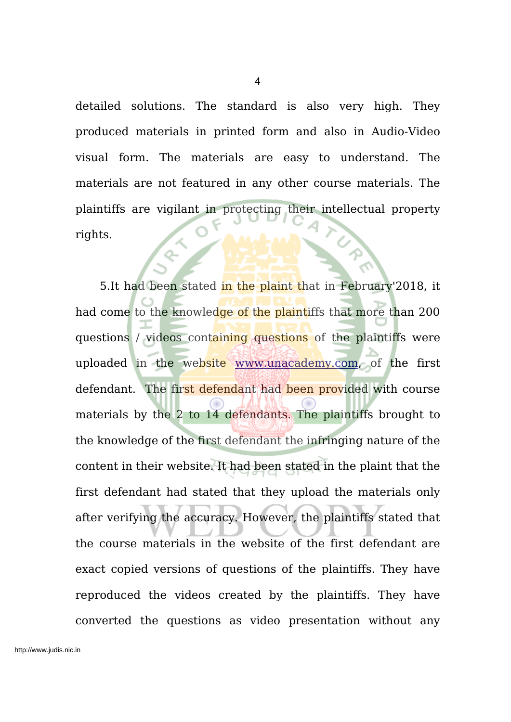detailed solutions. The standard is also very high. They produced materials in printed form and also in Audio-Video visual form. The materials are easy to understand. The materials are not featured in any other course materials. The plaintiffs are vigilant in protecting their intellectual property rights.

5.It had been stated in the plaint that in February'2018, it had come to the knowledge of the plaintiffs that more than 200 questions / videos containing questions of the plaintiffs were uploaded in the website www.unacademy.com, of the first defendant. The first defendant had been provided with course materials by the 2 to 14 defendants. The plaintiffs brought to the knowledge of the first defendant the infringing nature of the content in their website. It had been stated in the plaint that the first defendant had stated that they upload the materials only after verifying the accuracy. However, the plaintiffs stated that the course materials in the website of the first defendant are exact copied versions of questions of the plaintiffs. They have reproduced the videos created by the plaintiffs. They have converted the questions as video presentation without any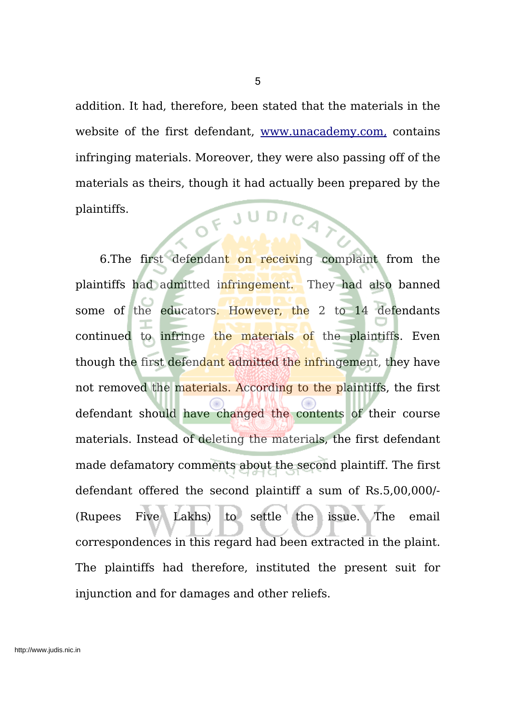addition. It had, therefore, been stated that the materials in the website of the first defendant, www.unacademy.com, contains infringing materials. Moreover, they were also passing off of the materials as theirs, though it had actually been prepared by the OF JUDICAT plaintiffs.

5

6.The first defendant on receiving complaint from the plaintiffs had admitted infringement. They had also banned some of the educators. However, the 2 to 14 defendants continued to infringe the materials of the plaintiffs. Even though the first defendant admitted the infringement, they have not removed the materials. According to the plaintiffs, the first defendant should have changed the contents of their course materials. Instead of deleting the materials, the first defendant made defamatory comments about the second plaintiff. The first defendant offered the second plaintiff a sum of Rs.5,00,000/- (Rupees Five Lakhs) to settle the issue. The email correspondences in this regard had been extracted in the plaint. The plaintiffs had therefore, instituted the present suit for injunction and for damages and other reliefs.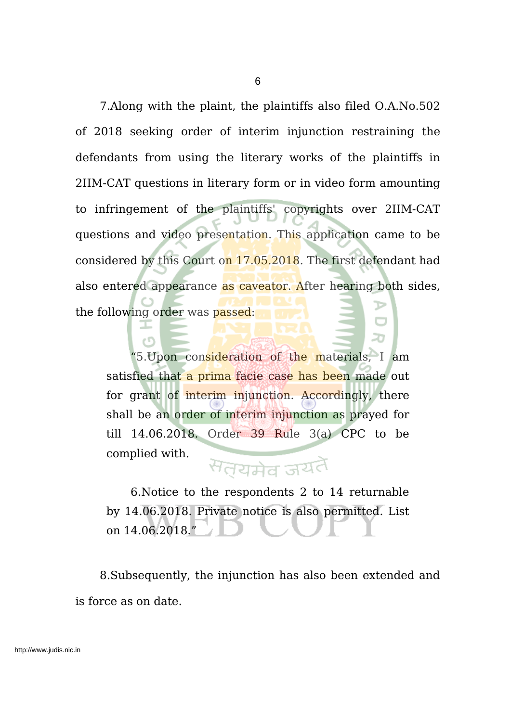7.Along with the plaint, the plaintiffs also filed O.A.No.502 of 2018 seeking order of interim injunction restraining the defendants from using the literary works of the plaintiffs in 2IIM-CAT questions in literary form or in video form amounting to infringement of the plaintiffs' copyrights over 2IIM-CAT questions and video presentation. This application came to be considered by this Court on 17.05.2018. The first defendant had also entered appearance as caveator. After hearing both sides, the following order was passed:

"5.Upon consideration of the materials, I am satisfied that a prima facie case has been made out for grant of interim injunction. Accordingly, there shall be an order of interim injunction as prayed for till 14.06.2018. Order 39 Rule 3(a) CPC to be complied with.

еñ

# सतयमेव जयतै

6.Notice to the respondents 2 to 14 returnable by 14.06.2018. Private notice is also permitted. List on 14.06.2018."

8.Subsequently, the injunction has also been extended and is force as on date.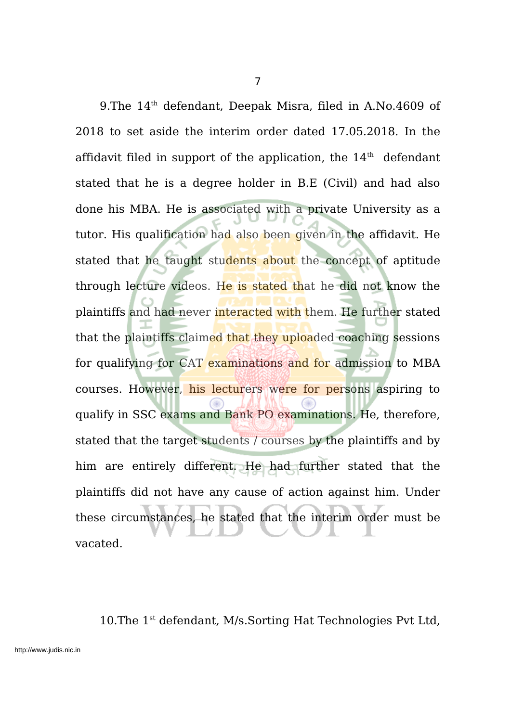9. The 14<sup>th</sup> defendant, Deepak Misra, filed in A.No. 4609 of 2018 to set aside the interim order dated 17.05.2018. In the affidavit filed in support of the application, the  $14<sup>th</sup>$  defendant stated that he is a degree holder in B.E (Civil) and had also done his MBA. He is associated with a private University as a tutor. His qualification had also been given in the affidavit. He stated that he taught students about the concept of aptitude through lecture videos. He is stated that he did not know the plaintiffs and had never interacted with them. He further stated that the plaintiffs claimed that they uploaded coaching sessions for qualifying for CAT examinations and for admission to MBA courses. However, his lecturers were for persons aspiring to qualify in SSC exams and Bank PO examinations. He, therefore, stated that the target students / courses by the plaintiffs and by him are entirely different. He had further stated that the plaintiffs did not have any cause of action against him. Under these circumstances, he stated that the interim order must be vacated.

10. The 1<sup>st</sup> defendant, M/s. Sorting Hat Technologies Pvt Ltd,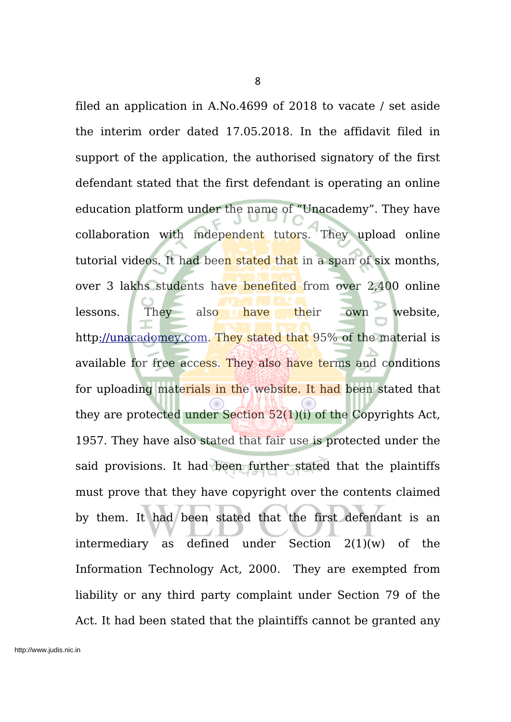filed an application in A.No.4699 of 2018 to vacate / set aside the interim order dated 17.05.2018. In the affidavit filed in support of the application, the authorised signatory of the first defendant stated that the first defendant is operating an online education platform under the name of "Unacademy". They have collaboration with independent tutors. They upload online tutorial videos. It had been stated that in a span of six months, over 3 lakhs students have benefited from over 2,400 online lessons. They also have their own website, http://unacadomey.com. They stated that 95% of the material is available for free access. They also have terms and conditions for uploading materials in the website. It had been stated that they are protected under Section 52(1)(i) of the Copyrights Act, 1957. They have also stated that fair use is protected under the said provisions. It had been further stated that the plaintiffs must prove that they have copyright over the contents claimed by them. It had been stated that the first defendant is an intermediary as defined under Section 2(1)(w) of the Information Technology Act, 2000. They are exempted from liability or any third party complaint under Section 79 of the Act. It had been stated that the plaintiffs cannot be granted any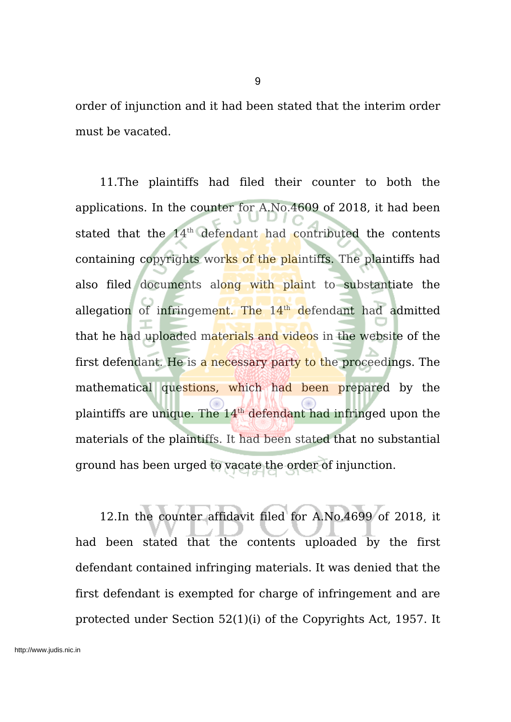order of injunction and it had been stated that the interim order must be vacated.

11.The plaintiffs had filed their counter to both the applications. In the counter for A.No.4609 of 2018, it had been stated that the 14<sup>th</sup> defendant had contributed the contents containing copyrights works of the plaintiffs. The plaintiffs had also filed documents along with plaint to substantiate the allegation of infringement. The 14<sup>th</sup> defendant had admitted that he had uploaded materials and videos in the website of the first defendant. He is a necessary party to the proceedings. The mathematical questions, which had been prepared by the plaintiffs are unique. The 14<sup>th</sup> defendant had infringed upon the materials of the plaintiffs. It had been stated that no substantial ground has been urged to vacate the order of injunction.

12.In the counter affidavit filed for A.No.4699 of 2018, it had been stated that the contents uploaded by the first defendant contained infringing materials. It was denied that the first defendant is exempted for charge of infringement and are protected under Section 52(1)(i) of the Copyrights Act, 1957. It

9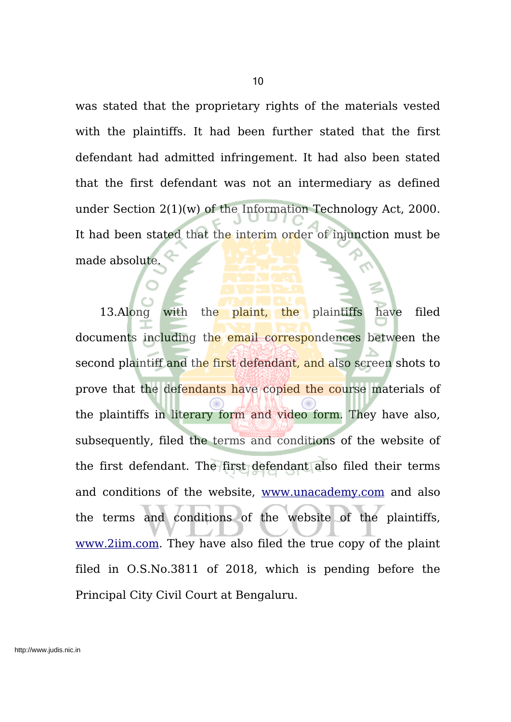was stated that the proprietary rights of the materials vested with the plaintiffs. It had been further stated that the first defendant had admitted infringement. It had also been stated that the first defendant was not an intermediary as defined under Section 2(1)(w) of the Information Technology Act, 2000. It had been stated that the interim order of injunction must be made absolute.

13.Along with the plaint, the plaintiffs have filed documents including the email correspondences between the second plaintiff and the first defendant, and also screen shots to prove that the defendants have copied the course materials of the plaintiffs in literary form and video form. They have also, subsequently, filed the terms and conditions of the website of the first defendant. The first defendant also filed their terms and conditions of the website, www.unacademy.com and also the terms and conditions of the website of the plaintiffs, www.2iim.com. They have also filed the true copy of the plaint filed in O.S.No.3811 of 2018, which is pending before the Principal City Civil Court at Bengaluru.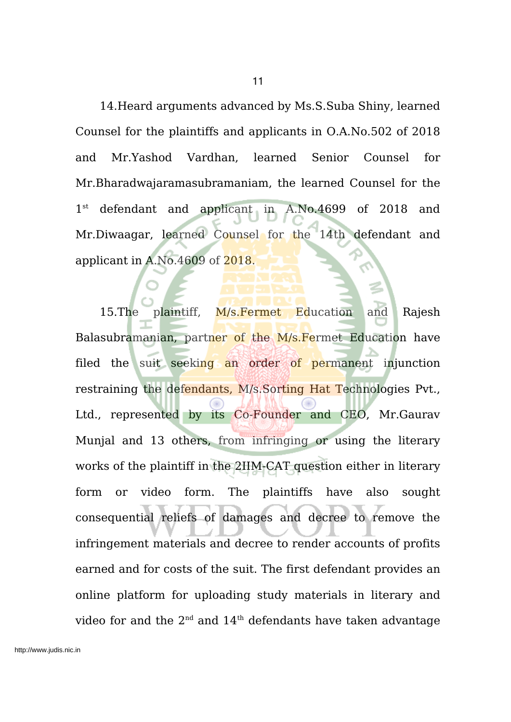14.Heard arguments advanced by Ms.S.Suba Shiny, learned Counsel for the plaintiffs and applicants in O.A.No.502 of 2018 and Mr.Yashod Vardhan, learned Senior Counsel for Mr.Bharadwajaramasubramaniam, the learned Counsel for the  $1^{\rm st}$ defendant and applicant in A.No.4699 of 2018 and Mr.Diwaagar, learned Counsel for the 14th defendant and applicant in A.No.4609 of 2018.

15.The plaintiff, M/s.Fermet Education and Rajesh Balasubramanian, partner of the M/s. Fermet Education have filed the suit seeking an order of permanent injunction restraining the defendants, M/s.Sorting Hat Technologies Pvt., Ltd., represented by its Co-Founder and CEO, Mr.Gaurav Munjal and 13 others, from infringing or using the literary works of the plaintiff in the 2IIM-CAT question either in literary form or video form. The plaintiffs have also sought consequential reliefs of damages and decree to remove the infringement materials and decree to render accounts of profits earned and for costs of the suit. The first defendant provides an online platform for uploading study materials in literary and video for and the 2 $^{\rm{nd}}$  and 14 $^{\rm{th}}$  defendants have taken advantage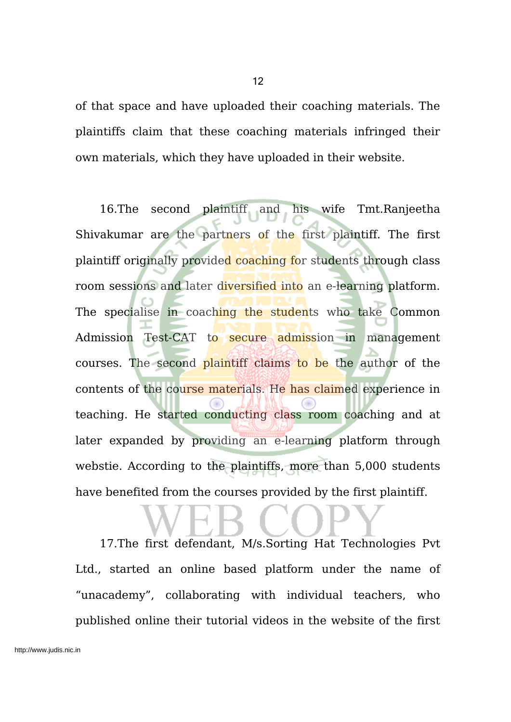of that space and have uploaded their coaching materials. The plaintiffs claim that these coaching materials infringed their own materials, which they have uploaded in their website.

16.The second plaintiff and his wife Tmt.Ranjeetha Shivakumar are the partners of the first plaintiff. The first plaintiff originally provided coaching for students through class room sessions and later diversified into an e-learning platform. The specialise in coaching the students who take Common Admission Test-CAT to secure admission in management courses. The second plaintiff claims to be the author of the contents of the course materials. He has claimed experience in teaching. He started conducting class room coaching and at later expanded by providing an e-learning platform through webstie. According to the plaintiffs, more than 5,000 students have benefited from the courses provided by the first plaintiff.

17.The first defendant, M/s.Sorting Hat Technologies Pvt Ltd., started an online based platform under the name of "unacademy", collaborating with individual teachers, who published online their tutorial videos in the website of the first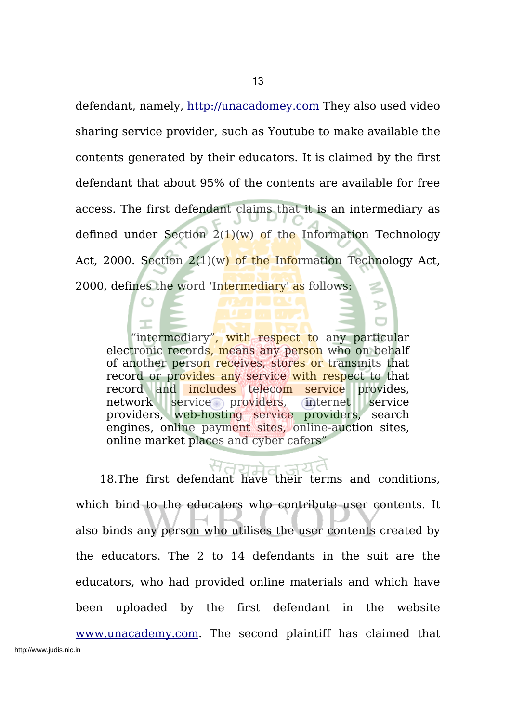defendant, namely, http://unacadomey.com They also used video sharing service provider, such as Youtube to make available the contents generated by their educators. It is claimed by the first defendant that about 95% of the contents are available for free access. The first defendant claims that it is an intermediary as defined under Section  $2(1)(w)$  of the Information Technology Act, 2000. Section  $2(1)(w)$  of the Information Technology Act, 2000, defines the word 'Intermediary' as follows:

"intermediary", with respect to any particular electronic records, means any person who on behalf of another person receives, stores or transmits that record or provides any service with respect to that record and includes telecom service provides, network service providers, internet service providers, web-hosting service providers, search engines, online payment sites, online-auction sites, online market places and cyber cafers"

18.The first defendant have their terms and conditions, which bind to the educators who contribute user contents. It also binds any person who utilises the user contents created by the educators. The 2 to 14 defendants in the suit are the educators, who had provided online materials and which have been uploaded by the first defendant in the website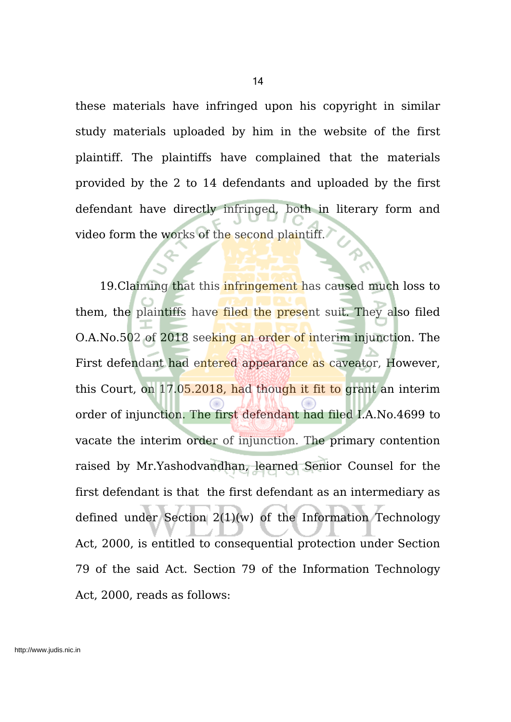these materials have infringed upon his copyright in similar study materials uploaded by him in the website of the first plaintiff. The plaintiffs have complained that the materials provided by the 2 to 14 defendants and uploaded by the first defendant have directly infringed, both in literary form and video form the works of the second plaintiff.

19. Claiming that this infringement has caused much loss to them, the plaintiffs have filed the present suit. They also filed O.A.No.502 of 2018 seeking an order of interim injunction. The First defendant had entered appearance as caveator, However, this Court, on 17.05.2018, had though it fit to grant an interim order of injunction. The first defendant had filed I.A.No.4699 to vacate the interim order of injunction. The primary contention raised by Mr.Yashodvandhan, learned Senior Counsel for the first defendant is that the first defendant as an intermediary as defined under Section 2(1)(w) of the Information Technology Act, 2000, is entitled to consequential protection under Section 79 of the said Act. Section 79 of the Information Technology Act, 2000, reads as follows: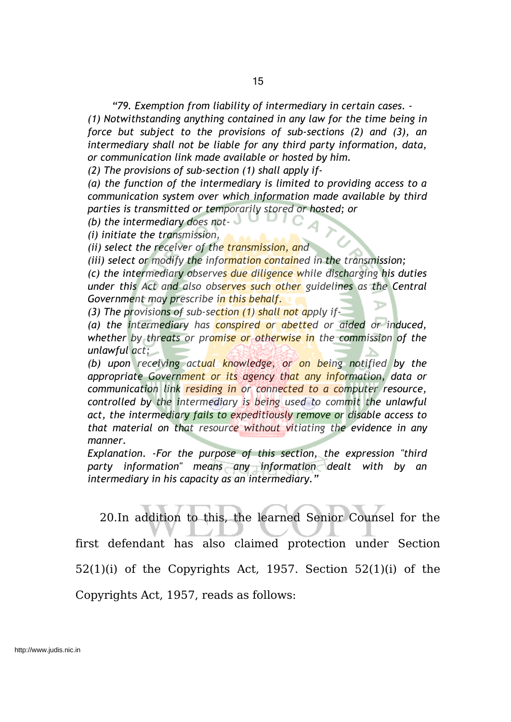*"79. Exemption from liability of intermediary in certain cases. -*

*(1) Notwithstanding anything contained in any law for the time being in force but subject to the provisions of sub-sections (2) and (3), an intermediary shall not be liable for any third party information, data, or communication link made available or hosted by him.*

*(2) The provisions of sub-section (1) shall apply if-*

*(a) the function of the intermediary is limited to providing access to a communication system over which information made available by third parties is transmitted or temporarily stored or hosted; or*

*(b) the intermediary does not-*

*(i) initiate the transmission,*

*(ii) select the receiver of the transmission, and*

*(iii) select or modify the information contained in the transmission;*

*(c) the intermediary observes due diligence while discharging his duties under this Act and also observes such other guidelines as the Central Government may prescribe in this behalf.*

*(3) The provisions of sub-section (1) shall not apply if-*

*(a) the intermediary has conspired or abetted or aided or induced, whether by threats or promise or otherwise in the commission of the unlawful act;*

*(b) upon receiving actual knowledge, or on being notified by the appropriate Government or its agency that any information, data or communication link residing in or connected to a computer resource, controlled by the intermediary is being used to commit the unlawful act, the intermediary fails to expeditiously remove or disable access to that material on that resource without vitiating the evidence in any manner.*

*Explanation. -For the purpose of this section, the expression "third party information" means any information dealt with by an intermediary in his capacity as an intermediary."*

20.In addition to this, the learned Senior Counsel for the first defendant has also claimed protection under Section 52(1)(i) of the Copyrights Act, 1957. Section 52(1)(i) of the Copyrights Act, 1957, reads as follows: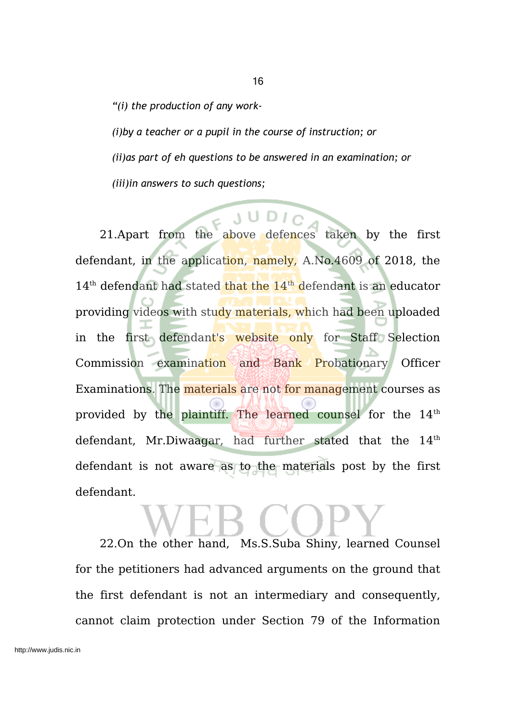*"(i) the production of any work- (i)by a teacher or a pupil in the course of instruction; or (ii)as part of eh questions to be answered in an examination; or*

*(iii)in answers to such questions;*

21.Apart from the above defences taken by the first defendant, in the application, namely, A.No.4609 of 2018, the 14<sup>th</sup> defendant had stated that the 14<sup>th</sup> defendant is an educator providing videos with study materials, which had been uploaded in the first defendant's website only for Staff Selection Commission examination and Bank Probationary Officer Examinations. The materials are not for management courses as provided by the plaintiff. The learned counsel for the 14<sup>th</sup> defendant, Mr.Diwaagar, had further stated that the  $14<sup>th</sup>$ defendant is not aware as to the materials post by the first defendant.

# 22.On the other hand, Ms.S.Suba Shiny, learned Counsel for the petitioners had advanced arguments on the ground that the first defendant is not an intermediary and consequently, cannot claim protection under Section 79 of the Information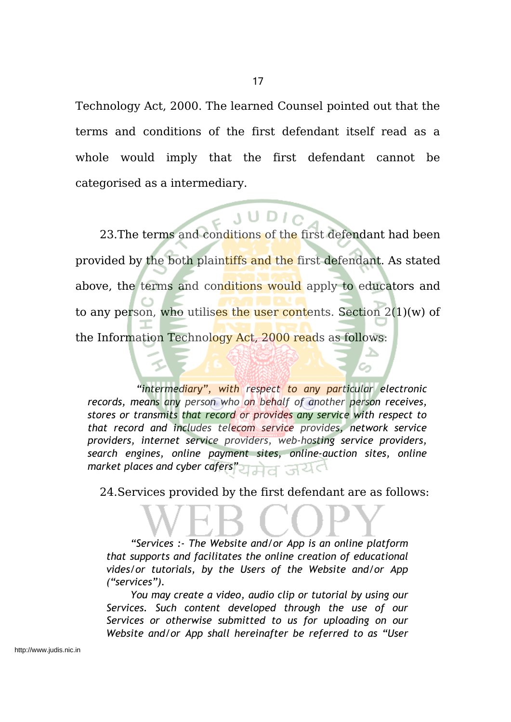Technology Act, 2000. The learned Counsel pointed out that the terms and conditions of the first defendant itself read as a whole would imply that the first defendant cannot be categorised as a intermediary.

23.The terms and conditions of the first defendant had been provided by the both plaintiffs and the first defendant. As stated above, the terms and conditions would apply to educators and to any person, who utilises the user contents. Section  $2(1)(w)$  of the Information Technology Act, 2000 reads as follows:

*"intermediary", with respect to any particular electronic records, means any person who on behalf of another person receives, stores or transmits that record or provides any service with respect to that record and includes telecom service provides, network service providers, internet service providers, web-hosting service providers, search engines, online payment sites, online-auction sites, online market places and cyber cafers"*

24.Services provided by the first defendant are as follows:

*"Services :- The Website and/or App is an online platform that supports and facilitates the online creation of educational vides/or tutorials, by the Users of the Website and/or App ("services").*

*You may create a video, audio clip or tutorial by using our Services. Such content developed through the use of our Services or otherwise submitted to us for uploading on our Website and/or App shall hereinafter be referred to as "User*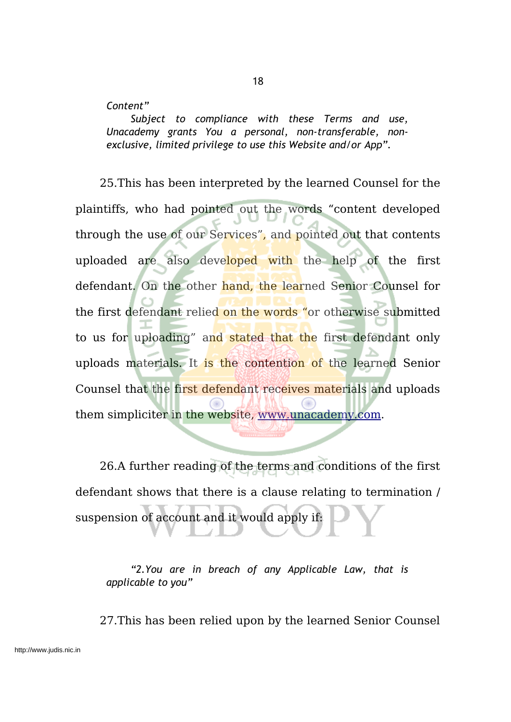### *Content"*

*Subject to compliance with these Terms and use, Unacademy grants You a personal, non-transferable, nonexclusive, limited privilege to use this Website and/or App".*

25.This has been interpreted by the learned Counsel for the plaintiffs, who had pointed out the words "content developed through the use of our Services", and pointed out that contents uploaded are also developed with the help of the first defendant. On the other hand, the learned Senior Counsel for the first defendant relied on the words "or otherwise submitted to us for uploading" and stated that the first defendant only uploads materials. It is the contention of the learned Senior Counsel that the first defendant receives materials and uploads them simpliciter in the website, www.unacademy.com.

26.A further reading of the terms and conditions of the first defendant shows that there is a clause relating to termination / suspension of account and it would apply if:

*"2.You are in breach of any Applicable Law, that is applicable to you"*

27.This has been relied upon by the learned Senior Counsel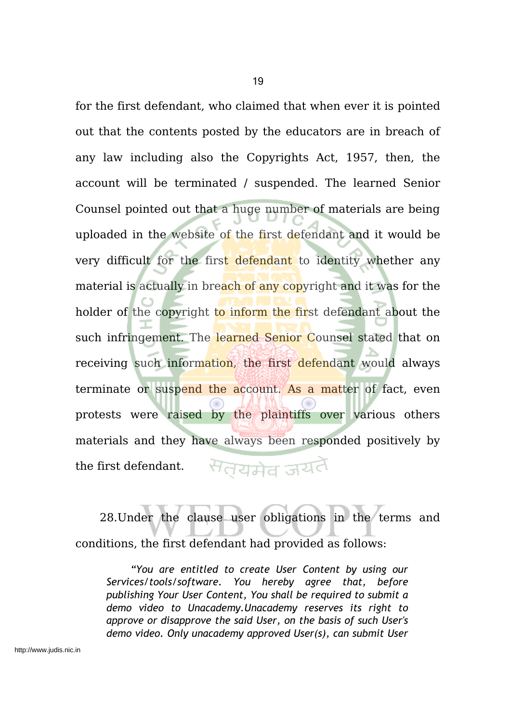for the first defendant, who claimed that when ever it is pointed out that the contents posted by the educators are in breach of any law including also the Copyrights Act, 1957, then, the account will be terminated / suspended. The learned Senior Counsel pointed out that a huge number of materials are being uploaded in the website of the first defendant and it would be very difficult for the first defendant to identity whether any material is actually in breach of any copyright and it was for the holder of the copyright to inform the first defendant about the such infringement. The learned Senior Counsel stated that on receiving such information, the first defendant would always terminate or suspend the account. As a matter of fact, even protests were raised by the plaintiffs over various others materials and they have always been responded positively by सतयमेव जयतै the first defendant.

28.Under the clause user obligations in the terms and conditions, the first defendant had provided as follows:

*"You are entitled to create User Content by using our Services/tools/software. You hereby agree that, before publishing Your User Content, You shall be required to submit a demo video to Unacademy.Unacademy reserves its right to approve or disapprove the said User, on the basis of such User's demo video. Only unacademy approved User(s), can submit User*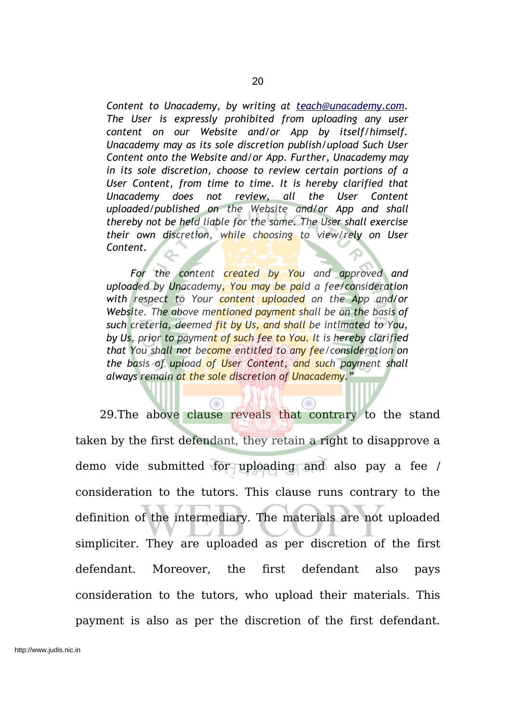*Content to Unacademy, by writing at teach@unacademy.com. The User is expressly prohibited from uploading any user content on our Website and/or App by itself/himself. Unacademy may as its sole discretion publish/upload Such User Content onto the Website and/or App. Further, Unacademy may in its sole discretion, choose to review certain portions of a User Content, from time to time. It is hereby clarified that Unacademy does not review, all the User Content uploaded/published on the Website and/or App and shall thereby not be held liable for the same. The User shall exercise their own discretion, while choosing to view/rely on User Content.*

*For the content created by You and approved and uploaded by Unacademy, You may be paid a fee/consideration with respect to Your content uploaded on the App and/or Website. The above mentioned payment shall be on the basis of such creteria, deemed fit by Us, and shall be intimated to You, by Us, prior to payment of such fee to You. It is hereby clarified that You shall not become entitled to any fee/consideration on the basis of upload of User Content, and such payment shall always remain at the sole discretion of Unacademy."*

29.The above clause reveals that contrary to the stand taken by the first defendant, they retain a right to disapprove a demo vide submitted for uploading and also pay a fee / consideration to the tutors. This clause runs contrary to the definition of the intermediary. The materials are not uploaded simpliciter. They are uploaded as per discretion of the first defendant. Moreover, the first defendant also pays consideration to the tutors, who upload their materials. This payment is also as per the discretion of the first defendant.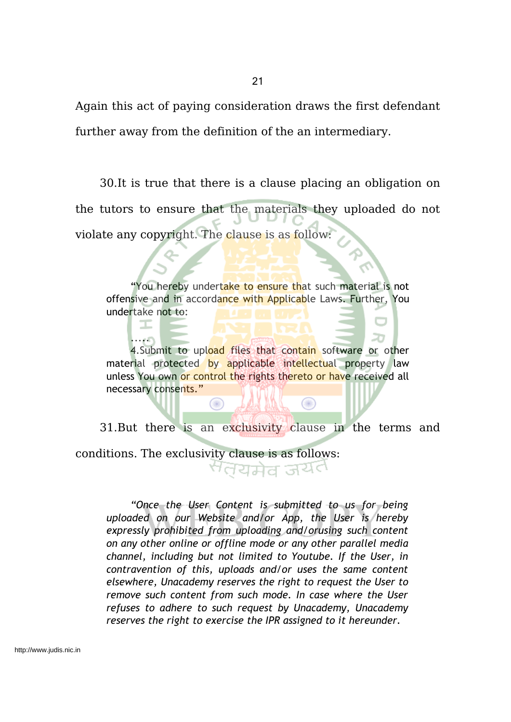Again this act of paying consideration draws the first defendant further away from the definition of the an intermediary.

30.It is true that there is a clause placing an obligation on the tutors to ensure that the materials they uploaded do not violate any copyright. The clause is as follow:

"You hereby undertake to ensure that such material is not offensive and in accordance with Applicable Laws. Further, You undertake not to:

4. Submit to upload files that contain software or other material protected by applicable intellectual property law unless You own or control the rights thereto or have received all necessary consents."

⊙

 $\circledcirc$ 

20

.....

ᅚ

31.But there is an exclusivity clause in the terms and conditions. The exclusivity clause is as follows:<br> $\overline{C}$ 

*"Once the User Content is submitted to us for being uploaded on our Website and/or App, the User is hereby expressly prohibited from uploading and/orusing such content on any other online or offline mode or any other parallel media channel, including but not limited to Youtube. If the User, in contravention of this, uploads and/or uses the same content elsewhere, Unacademy reserves the right to request the User to remove such content from such mode. In case where the User refuses to adhere to such request by Unacademy, Unacademy reserves the right to exercise the IPR assigned to it hereunder.*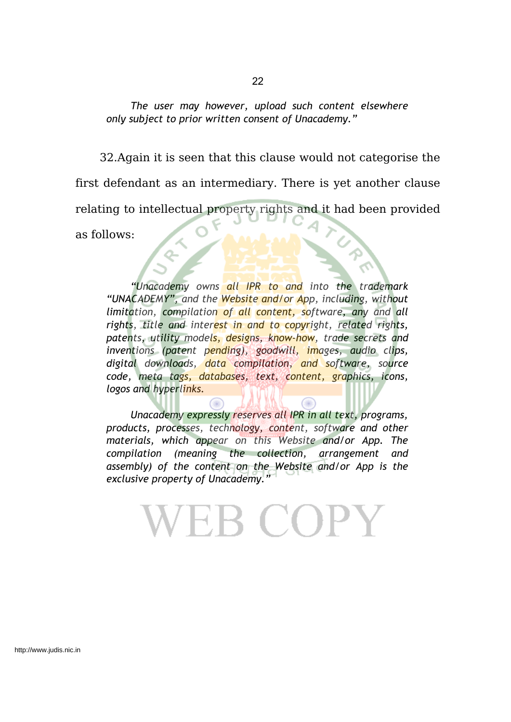*The user may however, upload such content elsewhere only subject to prior written consent of Unacademy."*

32.Again it is seen that this clause would not categorise the first defendant as an intermediary. There is yet another clause relating to intellectual property rights and it had been provided as follows:

*"Unacademy owns all IPR to and into the trademark "UNACADEMY", and the Website and/or App, including, without limitation, compilation of all content, software, any and all rights, title and interest in and to copyright, related rights, patents, utility models, designs, know-how, trade secrets and inventions (patent pending), goodwill, images, audio clips, digital downloads, data compilation, and software, source code, meta tags, databases, text, content, graphics, icons, logos and hyperlinks.*

*Unacademy expressly reserves all IPR in all text, programs, products, processes, technology, content, software and other materials, which appear on this Website and/or App. The compilation (meaning the collection, arrangement and assembly) of the content on the Website and/or App is the exclusive property of Unacademy."*

**EB COPY**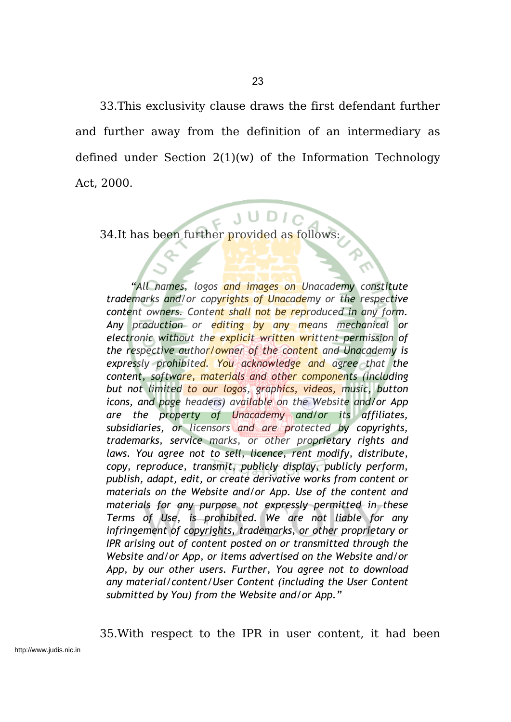33.This exclusivity clause draws the first defendant further and further away from the definition of an intermediary as defined under Section 2(1)(w) of the Information Technology Act, 2000.

23

34.It has been further provided as follows:

*"All names, logos and images on Unacademy constitute trademarks and/or copyrights of Unacademy or the respective content owners. Content shall not be reproduced in any form. Any production or editing by any means mechanical or electronic without the explicit written writtent permission of the respective author/owner of the content and Unacademy is expressly prohibited. You acknowledge and agree that the content, software, materials and other components (including but not limited to our logos, graphics, videos, music, button icons, and page headers) available on the Website and/or App are the property of Unacademy and/or its affiliates, subsidiaries, or licensors and are protected by copyrights, trademarks, service marks, or other proprietary rights and laws. You agree not to sell, licence, rent modify, distribute, copy, reproduce, transmit, publicly display, publicly perform, publish, adapt, edit, or create derivative works from content or materials on the Website and/or App. Use of the content and materials for any purpose not expressly permitted in these Terms of Use, is prohibited. We are not liable for any infringement of copyrights, trademarks, or other proprietary or IPR arising out of content posted on or transmitted through the Website and/or App, or items advertised on the Website and/or App, by our other users. Further, You agree not to download any material/content/User Content (including the User Content submitted by You) from the Website and/or App."*

35.With respect to the IPR in user content, it had been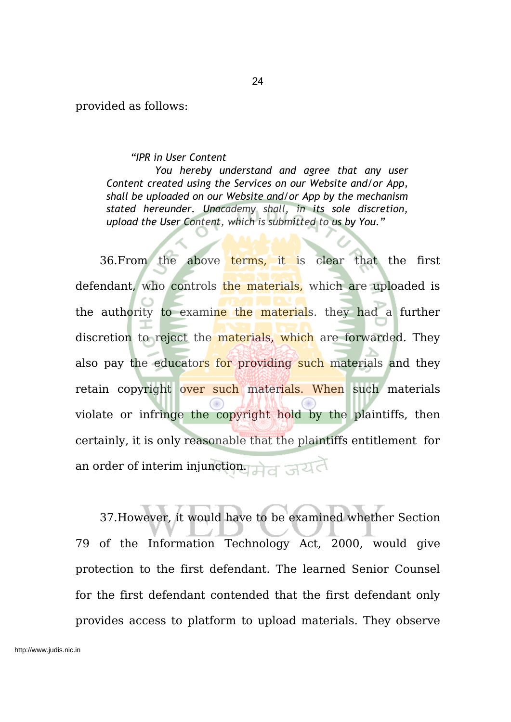provided as follows:

*"IPR in User Content*

*You hereby understand and agree that any user Content created using the Services on our Website and/or App, shall be uploaded on our Website and/or App by the mechanism stated hereunder. Unacademy shall, in its sole discretion, upload the User Content, which is submitted to us by You."*

36.From the above terms, it is clear that the first defendant, who controls the materials, which are uploaded is the authority to examine the materials. they had a further discretion to reject the materials, which are forwarded. They also pay the educators for providing such materials and they retain copyright over such materials. When such materials violate or infringe the copyright hold by the plaintiffs, then certainly, it is only reasonable that the plaintiffs entitlement for an order of interim injunction.

37.However, it would have to be examined whether Section 79 of the Information Technology Act, 2000, would give protection to the first defendant. The learned Senior Counsel for the first defendant contended that the first defendant only provides access to platform to upload materials. They observe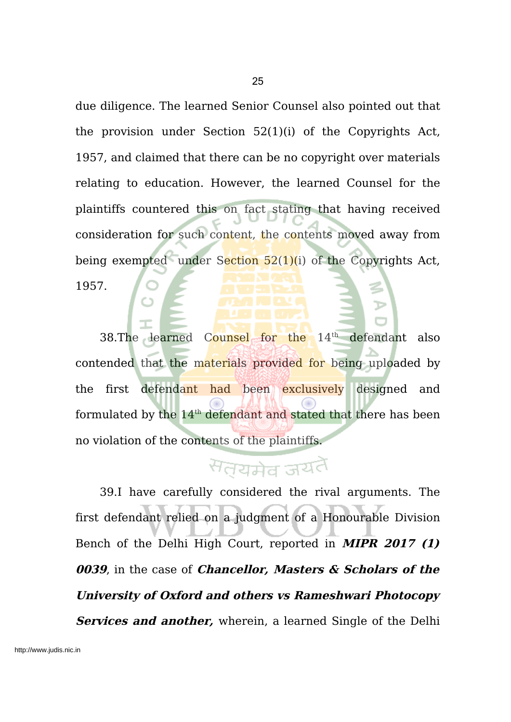due diligence. The learned Senior Counsel also pointed out that the provision under Section 52(1)(i) of the Copyrights Act, 1957, and claimed that there can be no copyright over materials relating to education. However, the learned Counsel for the plaintiffs countered this on fact stating that having received consideration for such content, the contents moved away from being exempted under Section  $52(1)(i)$  of the Copyrights Act, 1957.

38.The learned Counsel for the 14<sup>th</sup> defendant also contended that the materials provided for being uploaded by the first defendant had been exclusively designed and formulated by the 14<sup>th</sup> defendant and stated that there has been no violation of the contents of the plaintiffs.

# सतयमेव जयतै

39.I have carefully considered the rival arguments. The first defendant relied on a judgment of a Honourable Division Bench of the Delhi High Court, reported in **MIPR 2017 (1) 0039**, in the case of **Chancellor, Masters & Scholars of the University of Oxford and others vs Rameshwari Photocopy Services and another,** wherein, a learned Single of the Delhi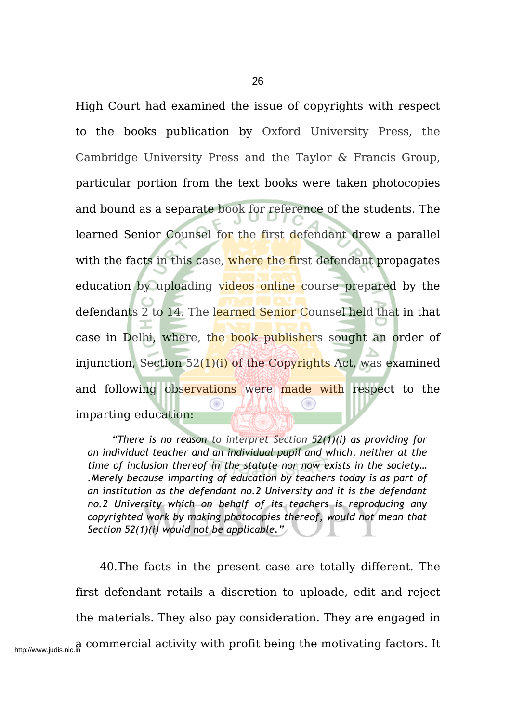High Court had examined the issue of copyrights with respect to the books publication by Oxford University Press, the Cambridge University Press and the Taylor & Francis Group, particular portion from the text books were taken photocopies and bound as a separate book for reference of the students. The learned Senior Counsel for the first defendant drew a parallel with the facts in this case, where the first defendant propagates education by uploading videos online course prepared by the defendants 2 to 14. The learned Senior Counsel held that in that case in Delhi, where, the book publishers sought an order of injunction, Section  $52(1)(i)$  of the Copyrights Act, was examined and following observations were made with respect to the imparting education:

*"There is no reason to interpret Section 52(1)(i) as providing for an individual teacher and an individual pupil and which, neither at the time of inclusion thereof in the statute nor now exists in the society… .Merely because imparting of education by teachers today is as part of an institution as the defendant no.2 University and it is the defendant no.2 University which on behalf of its teachers is reproducing any copyrighted work by making photocopies thereof, would not mean that Section 52(1)(i) would not be applicable."*

40.The facts in the present case are totally different. The first defendant retails a discretion to uploade, edit and reject the materials. They also pay consideration. They are engaged in http://www.judis.nic.in commercial activity with profit being the motivating factors. It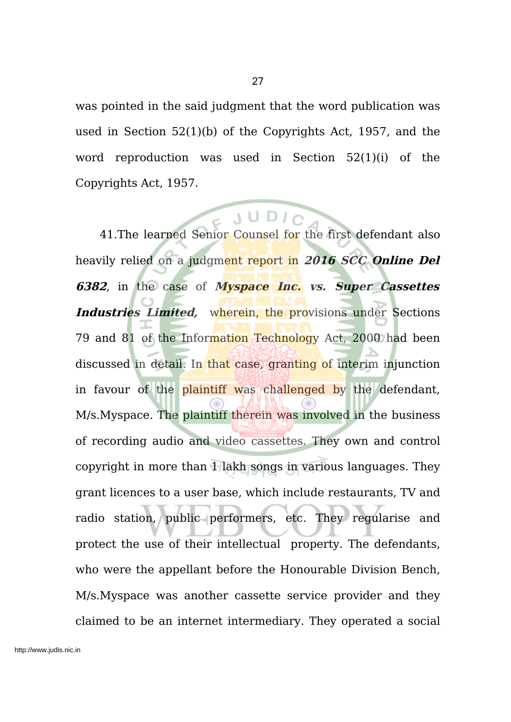was pointed in the said judgment that the word publication was used in Section 52(1)(b) of the Copyrights Act, 1957, and the word reproduction was used in Section 52(1)(i) of the Copyrights Act, 1957.

41.The learned Senior Counsel for the first defendant also heavily relied on a judgment report in **2016 SCC Online Del 6382**, in the case of **Myspace Inc. vs. Super Cassettes Industries** Limited, wherein, the provisions under Sections 79 and 81 of the Information Technology Act, 2000 had been discussed in detail. In that case, granting of interim injunction in favour of the plaintiff was challenged by the defendant, M/s.Myspace. The plaintiff therein was involved in the business of recording audio and video cassettes. They own and control copyright in more than 1 lakh songs in various languages. They grant licences to a user base, which include restaurants, TV and radio station, public performers, etc. They regularise and protect the use of their intellectual property. The defendants, who were the appellant before the Honourable Division Bench, M/s.Myspace was another cassette service provider and they claimed to be an internet intermediary. They operated a social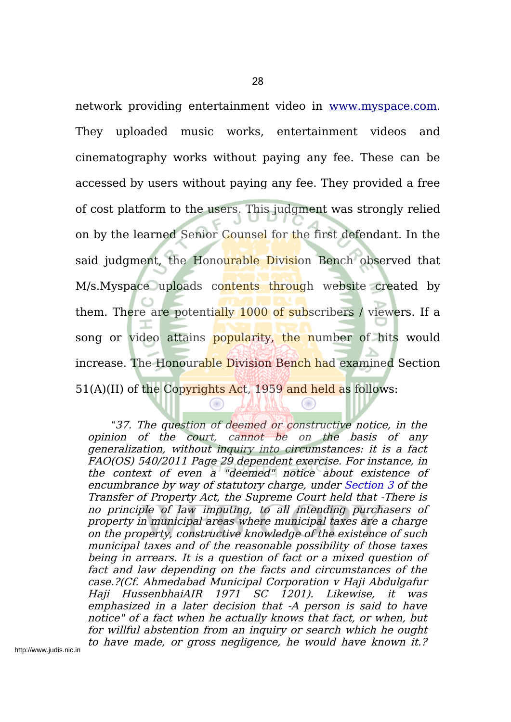network providing entertainment video in www.myspace.com. They uploaded music works, entertainment videos and cinematography works without paying any fee. These can be accessed by users without paying any fee. They provided a free of cost platform to the users. This judgment was strongly relied on by the learned Senior Counsel for the first defendant. In the said judgment, the Honourable Division Bench observed that M/s. Myspace uploads contents through website created by them. There are potentially 1000 of subscribers / viewers. If a song or video attains popularity, the number of hits would increase. The Honourable Division Bench had examined Section 51(A)(II) of the Copyrights Act, 1959 and held as follows:

"37. The question of deemed or constructive notice, in the opinion of the court, cannot be on the basis of any generalization, without inquiry into circumstances: it is <sup>a</sup> fact FAO(OS) 540/2011 Page 29 dependent exercise. For instance, in the context of even a "deemed" notice about existence of encumbrance by way of statutory charge, under Section 3 of the Transfer of Property Act, the Supreme Court held that -There is no principle of law imputing, to all intending purchasers of property in municipal areas where municipal taxes are <sup>a</sup> charge on the property, constructive knowledge of the existence of such municipal taxes and of the reasonable possibility of those taxes being in arrears. It is <sup>a</sup> question of fact or <sup>a</sup> mixed question of fact and law depending on the facts and circumstances of the case.?(Cf. Ahmedabad Municipal Corporation <sup>v</sup> Haji Abdulgafur Haji HussenbhaiAIR 1971 SC 1201). Likewise, it was emphasized in <sup>a</sup> later decision that -A person is said to have notice" of <sup>a</sup> fact when he actually knows that fact, or when, but for willful abstention from an inquiry or search which he ought to have made, or gross negligence, he would have known it.?

Œ

 $\bigcirc$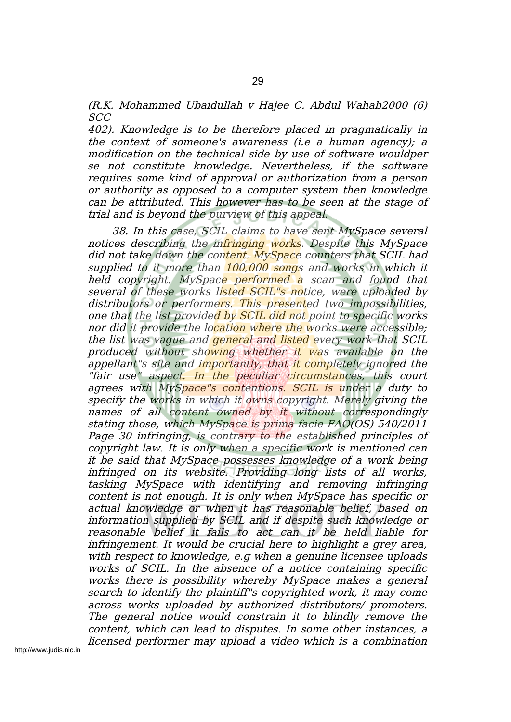(R.K. Mohammed Ubaidullah <sup>v</sup> Hajee C. Abdul Wahab2000 (6) SCC

402). Knowledge is to be therefore placed in pragmatically in the context of someone's awareness (i.e <sup>a</sup> human agency); <sup>a</sup> modification on the technical side by use of software wouldper se not constitute knowledge. Nevertheless, if the software requires some kind of approval or authorization from <sup>a</sup> person or authority as opposed to <sup>a</sup> computer system then knowledge can be attributed. This however has to be seen at the stage of trial and is beyond the purview of this appeal.

38. In this case, SCIL claims to have sent MySpace several notices describing the infringing works. Despite this MySpace did not take down the content. MySpace counters that SCIL had supplied to it more than  $100,000$  songs and works in which it held copyright. MySpace performed a scan and found that several of these works listed SCIL"s notice, were uploaded by distributors or performers. This presented two impossibilities, one that the list provided by SCIL did not point to specific works nor did it provide the location where the works were accessible; the list was vague and general and listed every work that SCIL produced without showing whether it was available on the appellant''s site and importantly, that it completely ignored the "fair use" aspect. In the peculiar circumstances, this court agrees with MySpace"s contentions. SCIL is under a duty to specify the works in which it owns copyright. Merely giving the names of all content owned by it without correspondingly stating those, which MySpace is prima facie FAO(OS) 540/2011 Page 30 infringing, is contrary to the established principles of copyright law. It is only when <sup>a</sup> specific work is mentioned can it be said that MySpace possesses knowledge of <sup>a</sup> work being infringed on its website. Providing long lists of all works, tasking MySpace with identifying and removing infringing content is not enough. It is only when MySpace has specific or actual knowledge or when it has reasonable belief, based on information supplied by SCIL and if despite such knowledge or reasonable belief it fails to act can it be held liable for infringement. It would be crucial here to highlight <sup>a</sup> grey area, with respect to knowledge, e.g when a genuine licensee uploads works of SCIL. In the absence of <sup>a</sup> notice containing specific works there is possibility whereby MySpace makes <sup>a</sup> general search to identify the plaintiff"s copyrighted work, it may come across works uploaded by authorized distributors/ promoters. The general notice would constrain it to blindly remove the content, which can lead to disputes. In some other instances, <sup>a</sup> licensed performer may upload <sup>a</sup> video which is <sup>a</sup> combination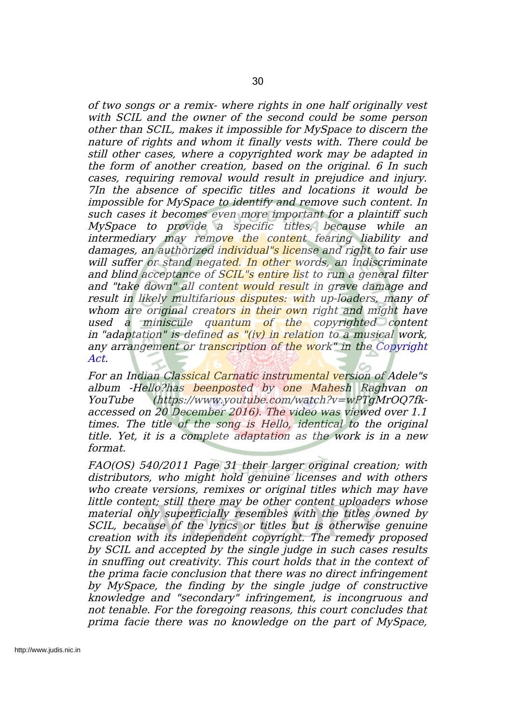of two songs or <sup>a</sup> remix- where rights in one half originally vest with SCIL and the owner of the second could be some person other than SCIL, makes it impossible for MySpace to discern the nature of rights and whom it finally vests with. There could be still other cases, where <sup>a</sup> copyrighted work may be adapted in the form of another creation, based on the original. 6 In such cases, requiring removal would result in prejudice and injury. 7In the absence of specific titles and locations it would be impossible for MySpace to identify and remove such content. In such cases it becomes even more important for a plaintiff such MySpace to provide <sup>a</sup> specific titles, because while an intermediary may remove the content fearing liability and damages, an authorized individual"s license and right to fair use will suffer or stand negated. In other words, an indiscriminate and blind acceptance of SCIL's entire list to run a general filter and "take down" all content would result in grave damage and result in likely multifarious disputes: with up-loaders, many of whom are original creators in their own right and might have used a miniscule quantum of the copyrighted content in "adaptation" is defined as "(iv) in relation to a musical work, any arrangement or transcription of the work" in the Copyright Act.

For an Indian Classical Carnatic instrumental version of Adele"s album -Hello?has beenposted by one Mahesh Raghvan on YouTube (https://www.youtube.com/watch?v=wPTgMrOQ7fkaccessed on 20 December 2016). The video was viewed over 1.1 times. The title of the song is Hello, identical to the original title. Yet, it is <sup>a</sup> complete adaptation as the work is in <sup>a</sup> new format.

FAO(OS) 540/2011 Page 31 their larger original creation; with distributors, who might hold genuine licenses and with others who create versions, remixes or original titles which may have little content; still there may be other content uploaders whose material only superficially resembles with the titles owned by SCIL, because of the lyrics or titles but is otherwise genuine creation with its independent copyright. The remedy proposed by SCIL and accepted by the single judge in such cases results in snuffing out creativity. This court holds that in the context of the prima facie conclusion that there was no direct infringement by MySpace, the finding by the single judge of constructive knowledge and "secondary" infringement, is incongruous and not tenable. For the foregoing reasons, this court concludes that prima facie there was no knowledge on the part of MySpace,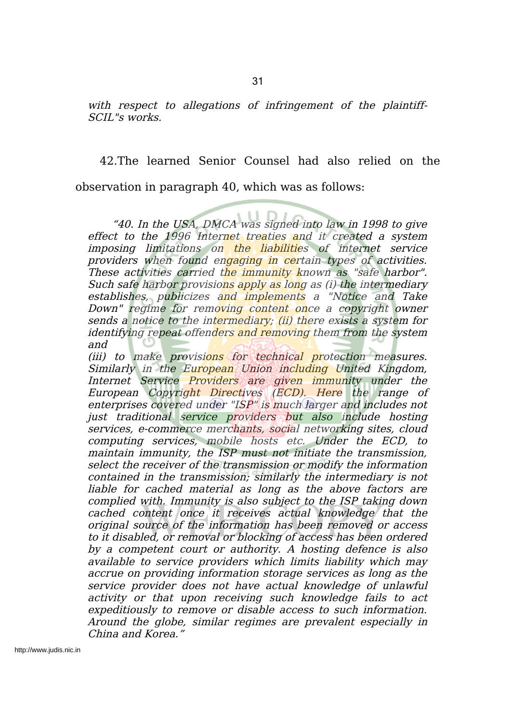with respect to allegations of infringement of the plaintiff-SCIL"s works.

42.The learned Senior Counsel had also relied on the observation in paragraph 40, which was as follows:

"40. In the USA, DMCA was signed into law in 1998 to give effect to the 1996 Internet treaties and it created a system imposing limitations on the liabilities of internet service providers when found engaging in certain types of activities. These activities carried the immunity known as "safe harbor". Such safe harbor provisions apply as long as (i) the intermediary establishes, publicizes and implements a "Notice and Take Down" regime for removing content once a copyright owner sends a notice to the intermediary; (ii) there exists a system for identifying repeat offenders and removing them from the system and

(iii) to make provisions for technical protection measures. Similarly in the European Union including United Kingdom, Internet Service Providers are given immunity under the European Copyright Directives (ECD). Here the range of enterprises covered under "ISP" is much larger and includes not just traditional service providers but also include hosting services, e-commerce merchants, social networking sites, cloud computing services, mobile hosts etc. Under the ECD, to maintain immunity, the ISP must not initiate the transmission, select the receiver of the transmission or modify the information contained in the transmission; similarly the intermediary is not liable for cached material as long as the above factors are complied with. Immunity is also subject to the ISP taking down cached content once it receives actual knowledge that the original source of the information has been removed or access to it disabled, or removal or blocking of access has been ordered by <sup>a</sup> competent court or authority. A hosting defence is also available to service providers which limits liability which may accrue on providing information storage services as long as the service provider does not have actual knowledge of unlawful activity or that upon receiving such knowledge fails to act expeditiously to remove or disable access to such information. Around the globe, similar regimes are prevalent especially in China and Korea."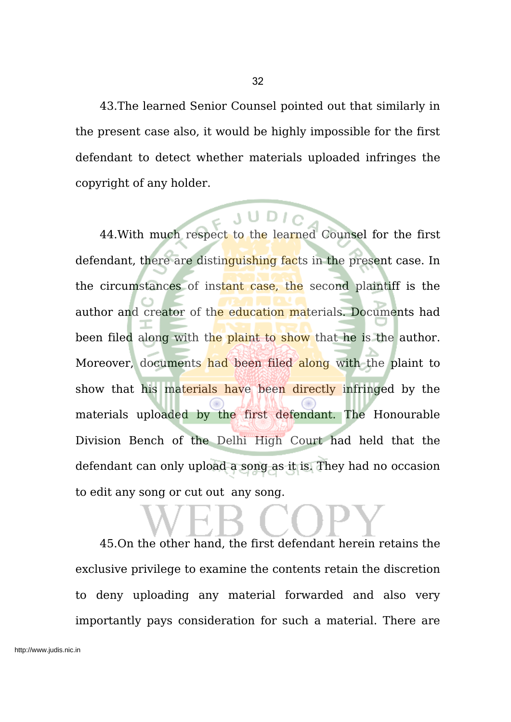43.The learned Senior Counsel pointed out that similarly in the present case also, it would be highly impossible for the first defendant to detect whether materials uploaded infringes the copyright of any holder.

44.With much respect to the learned Counsel for the first defendant, there are distinguishing facts in the present case. In the circumstances of instant case, the second plaintiff is the author and creator of the education materials. Documents had been filed along with the plaint to show that he is the author. Moreover, documents had been filed along with the plaint to show that his materials have been directly infringed by the materials uploaded by the first defendant. The Honourable Division Bench of the Delhi High Court had held that the defendant can only upload a song as it is. They had no occasion to edit any song or cut out any song.

45.On the other hand, the first defendant herein retains the exclusive privilege to examine the contents retain the discretion to deny uploading any material forwarded and also very importantly pays consideration for such a material. There are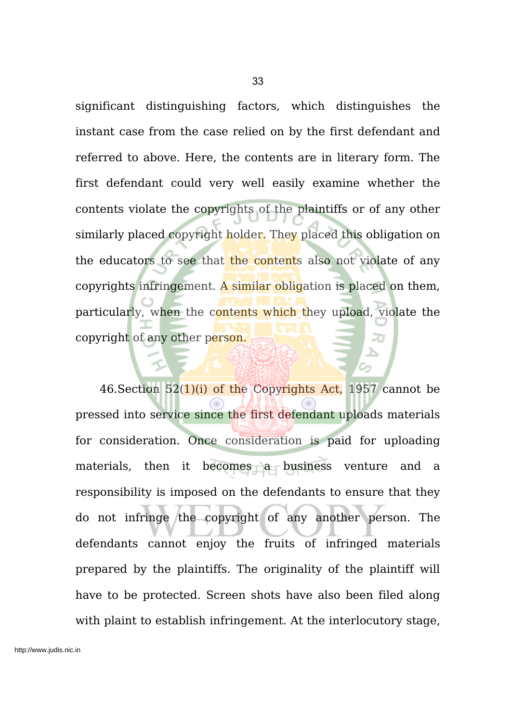significant distinguishing factors, which distinguishes the instant case from the case relied on by the first defendant and referred to above. Here, the contents are in literary form. The first defendant could very well easily examine whether the contents violate the copyrights of the plaintiffs or of any other similarly placed copyright holder. They placed this obligation on the educators to see that the contents also not violate of any copyrights infringement. A similar obligation is placed on them, particularly, when the contents which they upload, violate the copyright of any other person.

46. Section  $52(1)(i)$  of the Copyrights Act, 1957 cannot be pressed into service since the first defendant uploads materials for consideration. Once consideration is paid for uploading materials, then it becomes a business venture and a responsibility is imposed on the defendants to ensure that they do not infringe the copyright of any another person. The defendants cannot enjoy the fruits of infringed materials prepared by the plaintiffs. The originality of the plaintiff will have to be protected. Screen shots have also been filed along with plaint to establish infringement. At the interlocutory stage,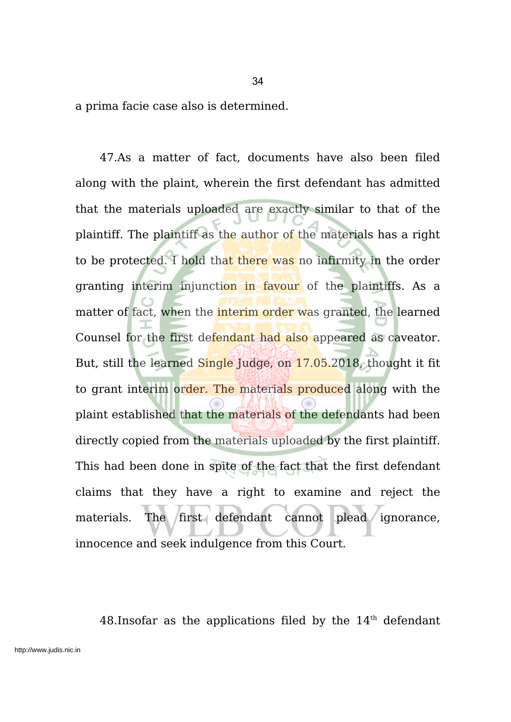a prima facie case also is determined.

47.As a matter of fact, documents have also been filed along with the plaint, wherein the first defendant has admitted that the materials uploaded are exactly similar to that of the plaintiff. The plaintiff as the author of the materials has a right to be protected. I hold that there was no infirmity in the order granting interim injunction in favour of the plaintiffs. As a matter of fact, when the **interim order** was granted, the learned Counsel for the first defendant had also appeared as caveator. But, still the learned Single Judge, on 17.05.2018, thought it fit to grant interim order. The materials produced along with the plaint established that the materials of the defendants had been directly copied from the materials uploaded by the first plaintiff. This had been done in spite of the fact that the first defendant claims that they have a right to examine and reject the materials. The first defendant cannot plead ignorance, innocence and seek indulgence from this Court.

48. Insofar as the applications filed by the  $14<sup>th</sup>$  defendant

34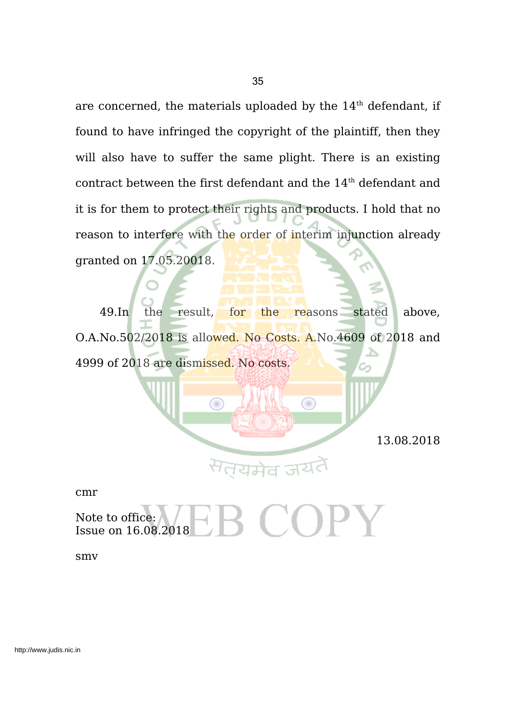are concerned, the materials uploaded by the  $14^{\text{th}}$  defendant, if found to have infringed the copyright of the plaintiff, then they will also have to suffer the same plight. There is an existing contract between the first defendant and the  $14^{\text{th}}$  defendant and it is for them to protect their rights and products. I hold that no reason to interfere with the order of interim injunction already granted on 17.05.20018.

49.In the result, for the reasons stated above, O.A.No.502/2018 is allowed. No Costs. A.No.4609 of 2018 and 4999 of 2018 are dismissed. No costs.

◉

13.08.2018

cmr

Note to office: Issue on 16.08.2018

Œ

smv